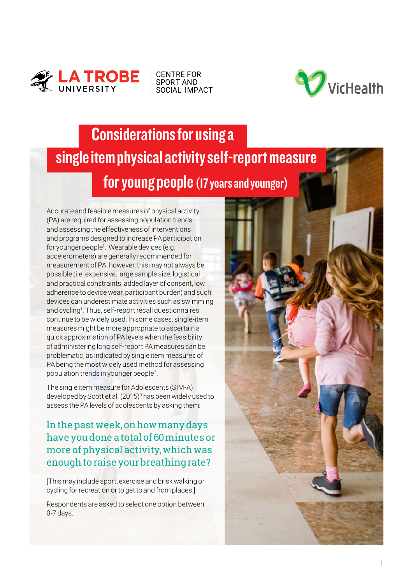

CENTRE FOR SPORT AND [SOCIAL IMPACT](https://www.latrobe.edu.au/cssi)



## Considerations for using a single item physical activity self-report measure for young people (17 years and younger)

Accurate and feasible measures of physical activity (PA) are required for assessing population trends and assessing the effectiveness of interventions and programs designed to increase PA participation for younger people<sup>1</sup>. Wearable devices (e.g. accelerometers) are generally recommended for measurement of PA, however, this may not always be possible (i.e. expensive, large sample size, logistical and practical constraints, added layer of consent, low adherence to device wear, participant burden) and such devices can underestimate activities such as swimming and cycling<sup>1</sup>. Thus, self-report recall questionnaires continue to be widely used. In some cases, single-item measures might be more appropriate to ascertain a quick approximation of PA levels when the feasibility of administering long self-report PA measures can be problematic, as indicated by single item measures of PA being the most widely used method for assessing population trends in younger people2.

The single item measure for Adolescents (SIM-A) developed by Scott et al. (2015)<sup>3</sup> has been widely used to assess the PA levels of adolescents by asking them:

In the past week, on how many days have you done a total of 60 minutes or more of physical activity, which was enough to raise your breathing rate?

[This may include sport, exercise and brisk walking or cycling for recreation or to get to and from places.]

Respondents are asked to select one option between 0-7 days.